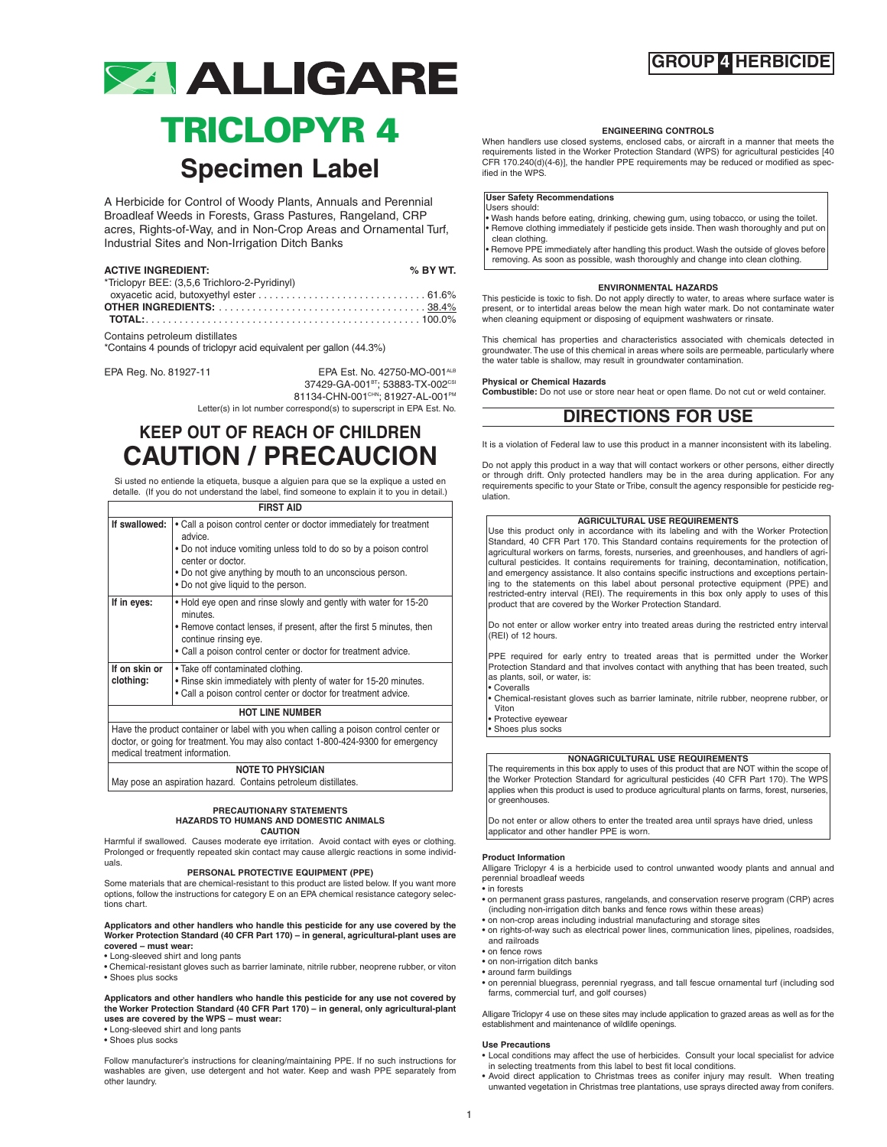## **GROUP 4 HERBICIDE**



## **TRICLOPYR 4 Specimen Label**

A Herbicide for Control of Woody Plants, Annuals and Perennial Broadleaf Weeds in Forests, Grass Pastures, Rangeland, CRP acres, Rights-of-Way, and in Non-Crop Areas and Ornamental Turf, Industrial Sites and Non-Irrigation Ditch Banks

| <b>ACTIVE INGREDIENT:</b><br>*Triclopyr BEE: (3,5,6 Trichloro-2-Pyridinyl) | $%$ BY WT. |
|----------------------------------------------------------------------------|------------|
|                                                                            |            |
|                                                                            |            |

Contains petroleum distillates

\*Contains 4 pounds of triclopyr acid equivalent per gallon (44.3%)

EPA Reg. No. 81927-11 EPA Est. No. 42750-MO-001ALB 37429-GA-001<sup>вт</sup>; 53883-TX-002<sup>csi</sup> 81134-CHN-001™; 81927-AL-001™

Letter(s) in lot number correspond(s) to superscript in EPA Est. No.

## **KEEP OUT OF REACH OF CHILDREN CAUTION / PRECAUCION**

Si usted no entiende la etiqueta, busque a alguien para que se la explique a usted en detalle. (If you do not understand the label, find someone to explain it to you in detail.)

|                            | <b>FIRST AID</b>                                                                                                                                                                                                                                                            |
|----------------------------|-----------------------------------------------------------------------------------------------------------------------------------------------------------------------------------------------------------------------------------------------------------------------------|
| If swallowed:              | • Call a poison control center or doctor immediately for treatment<br>advice.<br>. Do not induce vomiting unless told to do so by a poison control<br>center or doctor.<br>. Do not give anything by mouth to an unconscious person.<br>• Do not give liquid to the person. |
| If in eyes:                | . Hold eye open and rinse slowly and gently with water for 15-20<br>minutes.<br>• Remove contact lenses, if present, after the first 5 minutes, then<br>continue rinsing eye.<br>• Call a poison control center or doctor for treatment advice.                             |
| If on skin or<br>clothing: | • Take off contaminated clothing.<br>• Rinse skin immediately with plenty of water for 15-20 minutes.<br>. Call a poison control center or doctor for treatment advice.                                                                                                     |
|                            | <b>HOT LINE NUMBER</b>                                                                                                                                                                                                                                                      |
|                            | Have the product container or label with you when calling a poison control center or                                                                                                                                                                                        |

doctor, or going for treatment.You may also contact 1-800-424-9300 for emergency medical treatment information.

### **NOTE TO PHYSICIAN**

May pose an aspiration hazard. Contains petroleum distillates.

#### **PRECAUTIONARY STATEMENTS HAZARDS TO HUMANS AND DOMESTIC ANIMALS CAUTION**

Harmful if swallowed. Causes moderate eye irritation. Avoid contact with eyes or clothing. Prolonged or frequently repeated skin contact may cause allergic reactions in some individuals.

#### **PERSONAL PROTECTIVE EQUIPMENT (PPE)**

Some materials that are chemical-resistant to this product are listed below. If you want more options, follow the instructions for category E on an EPA chemical resistance category selections chart.

#### **Applicators and other handlers who handle this pesticide for any use covered by the Worker Protection Standard (40 CFR Part 170) – in general, agricultural-plant uses are covered – must wear:**

- Long-sleeved shirt and long pants
- Chemical-resistant gloves such as barrier laminate, nitrile rubber, neoprene rubber, or viton • Shoes plus socks

**Applicators and other handlers who handle this pesticide for any use not covered by the Worker Protection Standard (40 CFR Part 170) – in general, only agricultural-plant uses are covered by the WPS – must wear:**

• Long-sleeved shirt and long pants

• Shoes plus socks

Follow manufacturer's instructions for cleaning/maintaining PPE. If no such instructions for washables are given, use detergent and hot water. Keep and wash PPE separately from other laundry.

#### **ENGINEERING CONTROLS**

When handlers use closed systems, enclosed cabs, or aircraft in a manner that meets the requirements listed in the Worker Protection Standard (WPS) for agricultural pesticides [40 CFR 170.240(d)(4-6)], the handler PPE requirements may be reduced or modified as specified in the WPS.

#### **User Safety Recommendations**

Users should: • Wash hands before eating, drinking, chewing gum, using tobacco, or using the toilet. • Remove clothing immediately if pesticide gets inside. Then wash thoroughly and put on clean clothing.

Remove PPE immediately after handling this product. Wash the outside of gloves before removing. As soon as possible, wash thoroughly and change into clean clothing.

#### **ENVIRONMENTAL HAZARDS**

This pesticide is toxic to fish. Do not apply directly to water, to areas where surface water is present, or to intertidal areas below the mean high water mark. Do not contaminate water when cleaning equipment or disposing of equipment washwaters or rinsate.

This chemical has properties and characteristics associated with chemicals detected in groundwater.The use of this chemical in areas where soils are permeable, particularly where the water table is shallow, may result in groundwater contamination.

### **Physical or Chemical Hazards**

**Combustible:** Do not use or store near heat or open flame. Do not cut or weld container.

## **DIRECTIONS FOR USE**

It is a violation of Federal law to use this product in a manner inconsistent with its labeling.

Do not apply this product in a way that will contact workers or other persons, either directly or through drift. Only protected handlers may be in the area during application. For any requirements specific to your State or Tribe, consult the agency responsible for pesticide regulation.

#### **AGRICULTURAL USE REQUIREMENTS**

Use this product only in accordance with its labeling and with the Worker Protection Standard, 40 CFR Part 170. This Standard contains requirements for the protection of agricultural workers on farms, forests, nurseries, and greenhouses, and handlers of agricultural pesticides. It contains requirements for training, decontamination, notification, and emergency assistance. It also contains specific instructions and exceptions pertaining to the statements on this label about personal protective equipment (PPE) and restricted-entry interval (REI). The requirements in this box only apply to uses of this product that are covered by the Worker Protection Standard.

Do not enter or allow worker entry into treated areas during the restricted entry interval (REI) of 12 hours.

PPE required for early entry to treated areas that is permitted under the Worker Protection Standard and that involves contact with anything that has been treated, such as plants, soil, or water, is: • Coveralls

• Chemical-resistant gloves such as barrier laminate, nitrile rubber, neoprene rubber, or Viton

• Protective eyewear

• Shoes plus socks

#### **NONAGRICULTURAL USE REQUIREMENTS**

The requirements in this box apply to uses of this product that are NOT within the scope of the Worker Protection Standard for agricultural pesticides (40 CFR Part 170). The WPS applies when this product is used to produce agricultural plants on farms, forest, nurseries, or greenhouses.

Do not enter or allow others to enter the treated area until sprays have dried, unless applicator and other handler PPE is worn.

#### **Product Information**

Alligare Triclopyr 4 is a herbicide used to control unwanted woody plants and annual and perennial broadleaf weeds

• in forests

- on permanent grass pastures, rangelands, and conservation reserve program (CRP) acres (including non-irrigation ditch banks and fence rows within these areas)
- on non-crop areas including industrial manufacturing and storage sites
- on rights-of-way such as electrical power lines, communication lines, pipelines, roadsides, and railroads
- on fence rows
- on non-irrigation ditch banks
- around farm buildings
- on perennial bluegrass, perennial ryegrass, and tall fescue ornamental turf (including sod farms, commercial turf, and golf courses)

Alligare Triclopyr 4 use on these sites may include application to grazed areas as well as for the establishment and maintenance of wildlife openings.

#### **Use Precautions**

• Local conditions may affect the use of herbicides. Consult your local specialist for advice in selecting treatments from this label to best fit local conditions.

• Avoid direct application to Christmas trees as conifer injury may result. When treating unwanted vegetation in Christmas tree plantations, use sprays directed away from conifers.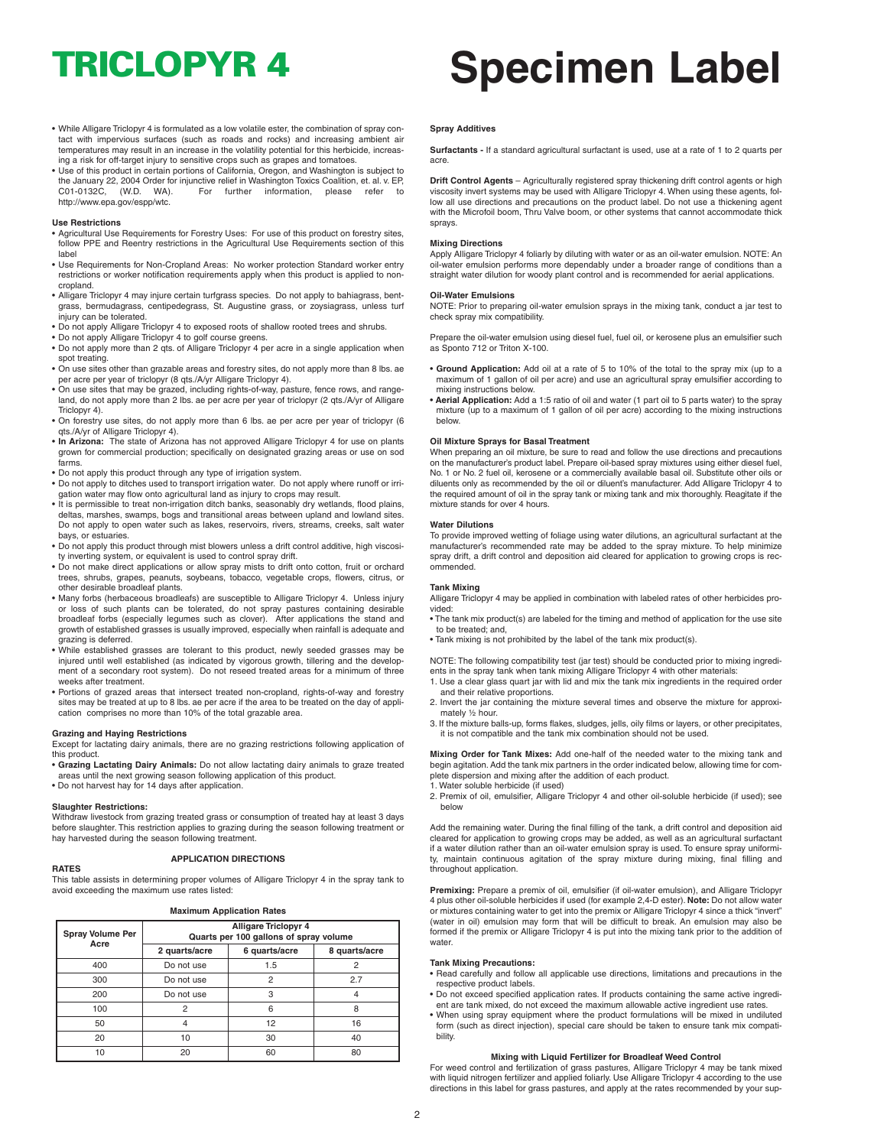- While Alligare Triclopyr 4 is formulated as a low volatile ester, the combination of spray contact with impervious surfaces (such as roads and rocks) and increasing ambient air temperatures may result in an increase in the volatility potential for this herbicide, increasing a risk for off-target injury to sensitive crops such as grapes and tomatoes.
- Use of this product in certain portions of California, Oregon, and Washington is subject to the January 22, 2004 Order for injunctive relief in Washington Toxics Coalition, et. al. v. EP, C01-0132C, (W.D. WA). For further information, please refer to http://www.epa.gov/espp/wtc.

#### **Use Restrictions**

- Agricultural Use Requirements for Forestry Uses: For use of this product on forestry sites, follow PPE and Reentry restrictions in the Agricultural Use Requirements section of this label
- Use Requirements for Non-Cropland Areas: No worker protection Standard worker entry restrictions or worker notification requirements apply when this product is applied to noncropland.
- Alligare Triclopyr 4 may injure certain turfgrass species. Do not apply to bahiagrass, bentgrass, bermudagrass, centipedegrass, St. Augustine grass, or zoysiagrass, unless turf injury can be tolerated.
- Do not apply Alligare Triclopyr 4 to exposed roots of shallow rooted trees and shrubs.
- 
- Do not apply Alligare Triclopyr 4 to golf course greens. Do not apply more than 2 qts. of Alligare Triclopyr 4 per acre in a single application when spot treating.
- On use sites other than grazable areas and forestry sites, do not apply more than 8 lbs. ae per acre per year of triclopyr (8 qts./A/yr Alligare Triclopyr 4).
- On use sites that may be grazed, including rights-of-way, pasture, fence rows, and rangeland, do not apply more than 2 lbs. ae per acre per year of triclopyr (2 qts./A/yr of Alligare Triclopyr 4).
- On forestry use sites, do not apply more than 6 lbs. ae per acre per year of triclopyr (6 qts./A/yr of Alligare Triclopyr 4).
- **In Arizona:** The state of Arizona has not approved Alligare Triclopyr 4 for use on plants grown for commercial production; specifically on designated grazing areas or use on sod farms.
- Do not apply this product through any type of irrigation system.
- Do not apply to ditches used to transport irrigation water. Do not apply where runoff or irri-gation water may flow onto agricultural land as injury to crops may result.
- It is permissible to treat non-irrigation ditch banks, seasonably dry wetlands, flood plains, deltas, marshes, swamps, bogs and transitional areas between upland and lowland sites. Do not apply to open water such as lakes, reservoirs, rivers, streams, creeks, salt water bays, or estuaries.
- Do not apply this product through mist blowers unless a drift control additive, high viscosity inverting system, or equivalent is used to control spray drift.
- Do not make direct applications or allow spray mists to drift onto cotton, fruit or orchard trees, shrubs, grapes, peanuts, soybeans, tobacco, vegetable crops, flowers, citrus, or other desirable broadleaf plants.
- Many forbs (herbaceous broadleafs) are susceptible to Alligare Triclopyr 4. Unless injury or loss of such plants can be tolerated, do not spray pastures containing desirable broadleaf forbs (especially legumes such as clover). After applications the stand and growth of established grasses is usually improved, especially when rainfall is adequate and grazing is deferred.
- While established grasses are tolerant to this product, newly seeded grasses may be injured until well established (as indicated by vigorous growth, tillering and the development of a secondary root system). Do not reseed treated areas for a minimum of three weeks after treatment.
- Portions of grazed areas that intersect treated non-cropland, rights-of-way and forestry sites may be treated at up to 8 lbs. ae per acre if the area to be treated on the day of appli-cation comprises no more than 10% of the total grazable area.

#### **Grazing and Haying Restrictions**

Except for lactating dairy animals, there are no grazing restrictions following application of this product.

- **Grazing Lactating Dairy Animals:** Do not allow lactating dairy animals to graze treated
- areas until the next growing season following application of this product. Do not harvest hay for 14 days after application.

#### **Slaughter Restrictions:**

Withdraw livestock from grazing treated grass or consumption of treated hay at least 3 days before slaughter. This restriction applies to grazing during the season following treatment or hay harvested during the season following treatment.

#### **RATES**

### **APPLICATION DIRECTIONS**

This table assists in determining proper volumes of Alligare Triclopyr 4 in the spray tank to avoid exceeding the maximum use rates listed:

**Maximum Application Rates**

| Spray Volume Per<br>Acre | <b>Alligare Triclopyr 4</b><br>Quarts per 100 gallons of spray volume |                |               |
|--------------------------|-----------------------------------------------------------------------|----------------|---------------|
|                          | 2 quarts/acre                                                         | 6 quarts/acre  | 8 quarts/acre |
| 400                      | Do not use                                                            | 1.5            | 2             |
| 300                      | Do not use                                                            | $\overline{c}$ | 2.7           |
| 200                      | Do not use                                                            | 3              |               |
| 100                      | $\overline{c}$                                                        | 6              | R             |
| 50                       | 4                                                                     | 12             | 16            |
| 20                       | 10                                                                    | 30             | 40            |
| 10                       | 20                                                                    | 60             | 80            |

# **TRICLOPYR 4 Specimen Label**

#### **Spray Additives**

**Surfactants -** If a standard agricultural surfactant is used, use at a rate of 1 to 2 quarts per acre.

**Drift Control Agents** – Agriculturally registered spray thickening drift control agents or high viscosity invert systems may be used with Alligare Triclopyr 4. When using these agents, follow all use directions and precautions on the product label. Do not use a thickening agent with the Microfoil boom. Thru Valve boom, or other systems that cannot accommodate thick sprays.

#### **Mixing Directions**

Apply Alligare Triclopyr 4 foliarly by diluting with water or as an oil-water emulsion. NOTE: An oil-water emulsion performs more dependably under a broader range of conditions than a straight water dilution for woody plant control and is recommended for aerial applications.

#### **Oil-Water Emulsions**

NOTE: Prior to preparing oil-water emulsion sprays in the mixing tank, conduct a jar test to check spray mix compatibility.

Prepare the oil-water emulsion using diesel fuel, fuel oil, or kerosene plus an emulsifier such as Sponto 712 or Triton X-100.

- **Ground Application:** Add oil at a rate of 5 to 10% of the total to the spray mix (up to a maximum of 1 gallon of oil per acre) and use an agricultural spray emulsifier according to mixing instructions below.
- **Aerial Application:** Add a 1:5 ratio of oil and water (1 part oil to 5 parts water) to the spray mixture (up to a maximum of 1 gallon of oil per acre) according to the mixing instructions below.

#### **Oil Mixture Sprays for Basal Treatment**

When preparing an oil mixture, be sure to read and follow the use directions and precautions on the manufacturer's product label. Prepare oil-based spray mixtures using either diesel fuel, No. 1 or No. 2 fuel oil, kerosene or a commercially available basal oil. Substitute other oils or diluents only as recommended by the oil or diluent's manufacturer. Add Alligare Triclopyr 4 to the required amount of oil in the spray tank or mixing tank and mix thoroughly. Reagitate if the mixture stands for over 4 hours.

#### **Water Dilutions**

To provide improved wetting of foliage using water dilutions, an agricultural surfactant at the manufacturer's recommended rate may be added to the spray mixture. To help minimize spray drift, a drift control and deposition aid cleared for application to growing crops is recommended.

#### **Tank Mixing**

Alligare Triclopyr 4 may be applied in combination with labeled rates of other herbicides provided:

- The tank mix product(s) are labeled for the timing and method of application for the use site to be treated; and,
- Tank mixing is not prohibited by the label of the tank mix product(s).
- NOTE: The following compatibility test (jar test) should be conducted prior to mixing ingredients in the spray tank when tank mixing Alligare Triclopyr 4 with other materials: 1. Use a clear glass quart jar with lid and mix the tank mix ingredients in the required order
- and their relative proportions. 2. Invert the jar containing the mixture several times and observe the mixture for approxi-
- mately ½ hour.
- 3. If the mixture balls-up, forms flakes, sludges, jells, oily films or layers, or other precipitates, it is not compatible and the tank mix combination should not be used.

**Mixing Order for Tank Mixes:** Add one-half of the needed water to the mixing tank and begin agitation. Add the tank mix partners in the order indicated below, allowing time for complete dispersion and mixing after the addition of each product. 1. Water soluble herbicide (if used)

2. Premix of oil, emulsifier, Alligare Triclopyr 4 and other oil-soluble herbicide (if used); see below

Add the remaining water. During the final filling of the tank, a drift control and deposition aid cleared for application to growing crops may be added, as well as an agricultural surfactant if a water dilution rather than an oil-water emulsion spray is used. To ensure spray uniformity, maintain continuous agitation of the spray mixture during mixing, final filling and throughout application.

**Premixing:** Prepare a premix of oil, emulsifier (if oil-water emulsion), and Alligare Triclopyr 4 plus other oil-soluble herbicides if used (for example 2,4-D ester). **Note:** Do not allow water or mixtures containing water to get into the premix or Alligare Triclopyr 4 since a thick "invert" (water in oil) emulsion may form that will be difficult to break. An emulsion may also be formed if the premix or Alligare Triclopyr 4 is put into the mixing tank prior to the addition of water.

#### **Tank Mixing Precautions:**

• Read carefully and follow all applicable use directions, limitations and precautions in the respective product labels.

- Do not exceed specified application rates. If products containing the same active ingredient are tank mixed, do not exceed the maximum allowable active ingredient use rates.
- When using spray equipment where the product formulations will be mixed in undiluted form (such as direct injection), special care should be taken to ensure tank mix compatibility.

### **Mixing with Liquid Fertilizer for Broadleaf Weed Control**

For weed control and fertilization of grass pastures, Alligare Triclopyr 4 may be tank mixed with liquid nitrogen fertilizer and applied foliarly. Use Alligare Triclopyr 4 according to the use directions in this label for grass pastures, and apply at the rates recommended by your sup-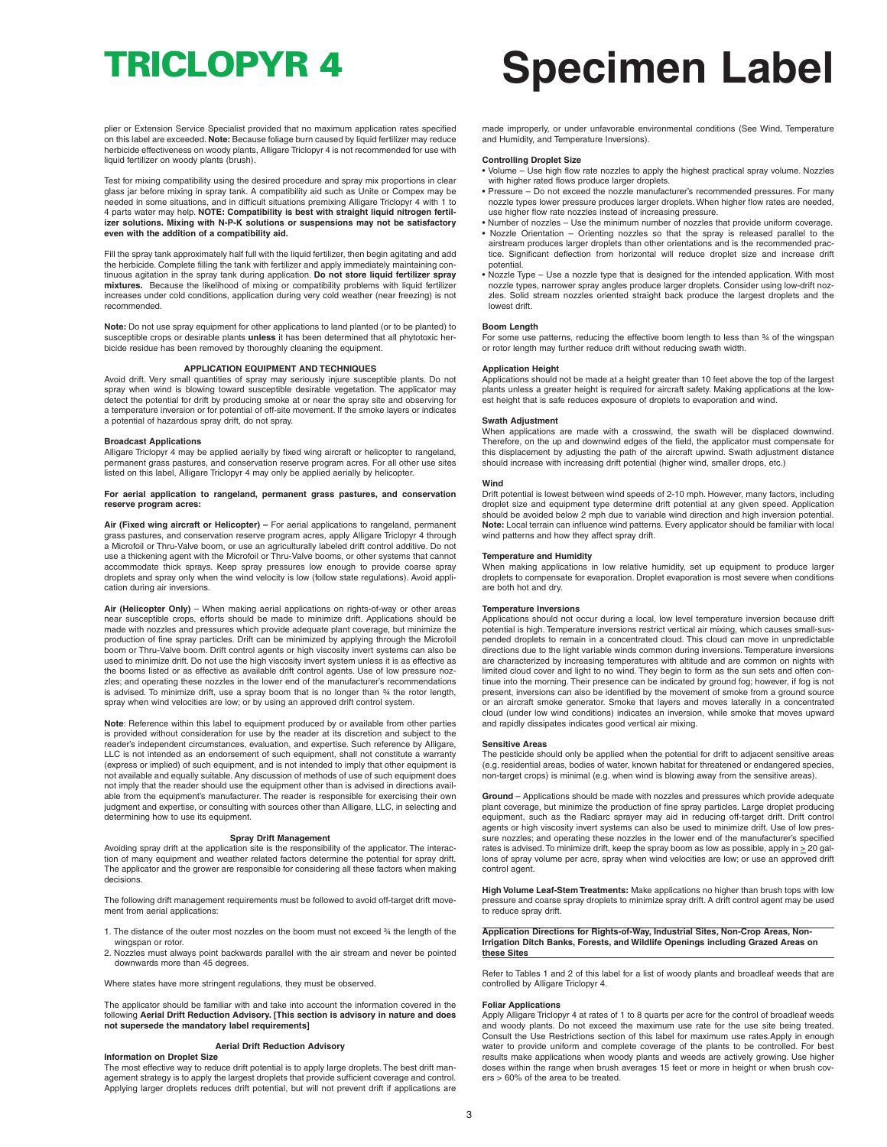plier or Extension Service Specialist provided that no maximum application rates specified on this label are exceeded. **Note:** Because foliage burn caused by liquid fertilizer may reduce herbicide effectiveness on woody plants, Alligare Triclopyr 4 is not recommended for use with liquid fertilizer on woody plants (brush).

Test for mixing compatibility using the desired procedure and spray mix proportions in clear glass jar before mixing in spray tank. A compatibility aid such as Unite or Compex may be needed in some situations, and in difficult situations premixing Alligare Triclopyr 4 with 1 to 4 parts water may help. **NOTE: Compatibility is best with straight liquid nitrogen fertilizer solutions. Mixing with N-P-K solutions or suspensions may not be satisfactory even with the addition of a compatibility aid.**

Fill the spray tank approximately half full with the liquid fertilizer, then begin agitating and add the herbicide. Complete filling the tank with fertilizer and apply immediately maintaining continuous agitation in the spray tank during application. **Do not store liquid fertilizer spray mixtures.** Because the likelihood of mixing or compatibility problems with liquid fertilizer increases under cold conditions, application during very cold weather (near freezing) is not recommended.

**Note:** Do not use spray equipment for other applications to land planted (or to be planted) to susceptible crops or desirable plants **unless** it has been determined that all phytotoxic herbicide residue has been removed by thoroughly cleaning the equipment.

#### **APPLICATION EQUIPMENT AND TECHNIQUES**

Avoid drift. Very small quantities of spray may seriously injure susceptible plants. Do not spray when wind is blowing toward susceptible desirable vegetation. The applicator may detect the potential for drift by producing smoke at or near the spray site and observing for a temperature inversion or for potential of off-site movement. If the smoke layers or indicates a potential of hazardous spray drift, do not spray.

#### **Broadcast Applications**

Alligare Triclopyr 4 may be applied aerially by fixed wing aircraft or helicopter to rangeland, permanent grass pastures, and conservation reserve program acres. For all other use sites listed on this label, Alligare Triclopyr 4 may only be applied aerially by helicopter.

#### **For aerial application to rangeland, permanent grass pastures, and conservation reserve program acres:**

**Air (Fixed wing aircraft or Helicopter) –** For aerial applications to rangeland, permanent grass pastures, and conservation reserve program acres, apply Alligare Triclopyr 4 through a Microfoil or Thru-Valve boom, or use an agriculturally labeled drift control additive. Do not use a thickening agent with the Microfoil or Thru-Valve booms, or other systems that cannot accommodate thick sprays. Keep spray pressures low enough to provide coarse spray droplets and spray only when the wind velocity is low (follow state regulations). Avoid application during air inversions.

**Air (Helicopter Only)** – When making aerial applications on rights-of-way or other areas near susceptible crops, efforts should be made to minimize drift. Applications should be made with nozzles and pressures which provide adequate plant coverage, but minimize the production of fine spray particles. Drift can be minimized by applying through the Microfoil boom or Thru-Valve boom. Drift control agents or high viscosity invert systems can also be used to minimize drift. Do not use the high viscosity invert system unless it is as effective as the booms listed or as effective as available drift control agents. Use of low pressure noz-zles; and operating these nozzles in the lower end of the manufacturer's recommendations is advised. To minimize drift, use a spray boom that is no longer than  $\frac{3}{4}$  the rotor length, spray when wind velocities are low; or by using an approved drift control systen

**Note**: Reference within this label to equipment produced by or available from other parties is provided without consideration for use by the reader at its discretion and subject to the reader's independent circumstances, evaluation, and expertise. Such reference by Alligare, LLC is not intended as an endorsement of such equipment, shall not constitute a warranty (express or implied) of such equipment, and is not intended to imply that other equipment is not available and equally suitable. Any discussion of methods of use of such equipment does not imply that the reader should use the equipment other than is advised in directions available from the equipment's manufacturer. The reader is responsible for exercising their own judgment and expertise, or consulting with sources other than Alligare, LLC, in selecting and determining how to use its equipment.

#### **Spray Drift Management**

Avoiding spray drift at the application site is the responsibility of the applicator. The interaction of many equipment and weather related factors determine the potential for spray drift. The applicator and the grower are responsible for considering all these factors when making decisions.

The following drift management requirements must be followed to avoid off-target drift movement from aerial applications:

- 1. The distance of the outer most nozzles on the boom must not exceed ¾ the length of the wingspan or rotor.
- 2. Nozzles must always point backwards parallel with the air stream and never be pointed downwards more than 45 degrees.

Where states have more stringent regulations, they must be observed.

The applicator should be familiar with and take into account the information covered in the following Aerial Drift Reduction Advisory. [This section is advisory in nature and does<br>not supersede the mandatory label requirements]

#### **Aerial Drift Reduction Advisory**

## **Information on Droplet Size**

The most effective way to reduce drift potential is to apply large droplets. The best drift management strategy is to apply the largest droplets that provide sufficient coverage and control. Applying larger droplets reduces drift potential, but will not prevent drift if applications are

# **TRICLOPYR 4 Specimen Label**

made improperly, or under unfavorable environmental conditions (See Wind, Temperature and Humidity, and Temperature Inversions).

#### **Controlling Droplet Size**

- Volume Use high flow rate nozzles to apply the highest practical spray volume. Nozzles
- with higher rated flows produce larger droplets. Pressure Do not exceed the nozzle manufacturer's recommended pressures. For many nozzle types lower pressure produces larger droplets. When higher flow rates are needed, use higher flow rate nozzles instead of increasing pressure.
- Number of nozzles Use the minimum number of nozzles that provide uniform coverage. • Nozzle Orientation – Orienting nozzles so that the spray is released parallel to the airstream produces larger droplets than other orientations and is the recommended practice. Significant deflection from horizontal will reduce droplet size and increase drift potential.
- Nozzle Type Use a nozzle type that is designed for the intended application. With most nozzle types, narrower spray angles produce larger droplets. Consider using low-drift nozzles. Solid stream nozzles oriented straight back produce the largest droplets and the lowest drift.

#### **Boom Length**

For some use patterns, reducing the effective boom length to less than  $\frac{3}{4}$  of the wingspan or rotor length may further reduce drift without reducing swath width.

#### **Application Height**

Applications should not be made at a height greater than 10 feet above the top of the largest plants unless a greater height is required for aircraft safety. Making applications at the lowest height that is safe reduces exposure of droplets to evaporation and wind.

#### **Swath Adjustment**

When applications are made with a crosswind, the swath will be displaced downwind. Therefore, on the up and downwind edges of the field, the applicator must compensate for this displacement by adjusting the path of the aircraft upwind. Swath adjustment distance should increase with increasing drift potential (higher wind, smaller drops, etc.)

#### **Wind**

Drift potential is lowest between wind speeds of 2-10 mph. However, many factors, including droplet size and equipment type determine drift potential at any given speed. Application should be avoided below 2 mph due to variable wind direction and high inversion potential. **Note:** Local terrain can influence wind patterns. Every applicator should be familiar with local wind patterns and how they affect spray drift.

#### **Temperature and Humidity**

When making applications in low relative humidity, set up equipment to produce larger droplets to compensate for evaporation. Droplet evaporation is most severe when conditions are both hot and dry.

#### **Temperature Inversions**

Applications should not occur during a local, low level temperature inversion because drift potential is high. Temperature inversions restrict vertical air mixing, which causes small-suspended droplets to remain in a concentrated cloud. This cloud can move in unpredictable directions due to the light variable winds common during inversions. Temperature inversions are characterized by increasing temperatures with altitude and are common on nights with limited cloud cover and light to no wind. They begin to form as the sun sets and often con-tinue into the morning. Their presence can be indicated by ground fog; however, if fog is not present, inversions can also be identified by the movement of smoke from a ground source or an aircraft smoke generator. Smoke that layers and moves laterally in a concentrated cloud (under low wind conditions) indicates an inversion, while smoke that moves upward and rapidly dissipates indicates good vertical air mixing.

#### **Sensitive Areas**

The pesticide should only be applied when the potential for drift to adjacent sensitive areas (e.g. residential areas, bodies of water, known habitat for threatened or endangered species, non-target crops) is minimal (e.g. when wind is blowing away from the sensitive areas).

**Ground** – Applications should be made with nozzles and pressures which provide adequate plant coverage, but minimize the production of fine spray particles. Large droplet producing equipment, such as the Radiarc sprayer may aid in reducing off-target drift. Drift control agents or high viscosity invert systems can also be used to minimize drift. Use of low pres-sure nozzles; and operating these nozzles in the lower end of the manufacturer's specified rates is advised. To minimize drift, keep the spray boom as low as possible, apply in  $\geq$  20 gallons of spray volume per acre, spray when wind velocities are low; or use an approved drift control agent.

**High Volume Leaf-Stem Treatments:** Make applications no higher than brush tops with low pressure and coarse spray droplets to minimize spray drift. A drift control agent may be used to reduce spray drift.

Application Directions for Rights-of-Way, Industrial Sites, Non-Crop Areas, Non-<br>Irrigation Ditch Banks, Forests, and Wildlife Openings including Grazed Areas on **these Sites**

Refer to Tables 1 and 2 of this label for a list of woody plants and broadleaf weeds that are controlled by Alligare Triclopyr 4.

#### **Foliar Applications**

Apply Alligare Triclopyr 4 at rates of 1 to 8 quarts per acre for the control of broadleaf weeds and woody plants. Do not exceed the maximum use rate for the use site being treated. Consult the Use Restrictions section of this label for maximum use rates.Apply in enough water to provide uniform and complete coverage of the plants to be controlled. For best results make applications when woody plants and weeds are actively growing. Use higher doses within the range when brush averages 15 feet or more in height or when brush covers > 60% of the area to be treated.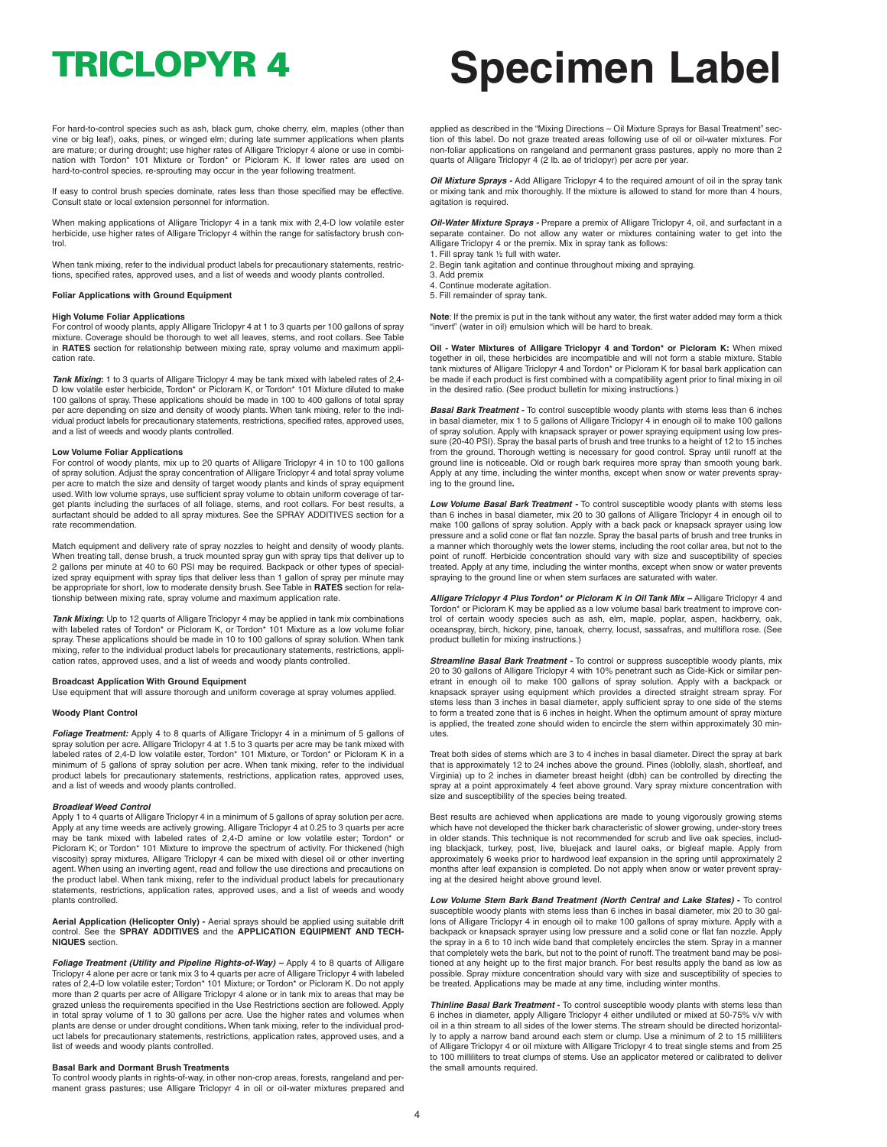For hard-to-control species such as ash, black gum, choke cherry, elm, maples (other than vine or big leaf), oaks, pines, or winged elm; during late summer applications when plants are mature; or during drought; use higher rates of Alligare Triclopyr 4 alone or use in combi-nation with Tordon\* 101 Mixture or Tordon\* or Picloram K. If lower rates are used on hard-to-control species, re-sprouting may occur in the year following treatment.

If easy to control brush species dominate, rates less than those specified may be effective. Consult state or local extension personnel for information.

When making applications of Alligare Triclopyr 4 in a tank mix with 2,4-D low volatile ester herbicide, use higher rates of Alligare Triclopyr 4 within the range for satisfactory brush control

When tank mixing, refer to the individual product labels for precautionary statements, restrictions, specified rates, approved uses, and a list of weeds and woody plants controlled.

### **Foliar Applications with Ground Equipment**

#### **High Volume Foliar Applications**

For control of woody plants, apply Alligare Triclopyr 4 at 1 to 3 quarts per 100 gallons of spray mixture. Coverage should be thorough to wet all leaves, stems, and root collars. See Table in **RATES** section for relationship between mixing rate, spray volume and maximum application rate.

*Tank Mixing***:** 1 to 3 quarts of Alligare Triclopyr 4 may be tank mixed with labeled rates of 2,4- D low volatile ester herbicide, Tordon\* or Picloram K, or Tordon\* 101 Mixture diluted to make 100 gallons of spray. These applications should be made in 100 to 400 gallons of total spray per acre depending on size and density of woody plants. When tank mixing, refer to the indi-vidual product labels for precautionary statements, restrictions, specified rates, approved uses, and a list of weeds and woody plants controlled.

### **Low Volume Foliar Applications**

For control of woody plants, mix up to 20 quarts of Alligare Triclopyr 4 in 10 to 100 gallons of spray solution. Adjust the spray concentration of Alligare Triclopyr 4 and total spray volume per acre to match the size and density of target woody plants and kinds of spray equipment used. With low volume sprays, use sufficient spray volume to obtain uniform coverage of target plants including the surfaces of all foliage, stems, and root collars. For best results, a surfactant should be added to all spray mixtures. See the SPRAY ADDITIVES section for a rate recommendation.

Match equipment and delivery rate of spray nozzles to height and density of woody plants. When treating tall, dense brush, a truck mounted spray gun with spray tips that deliver up to 2 gallons per minute at 40 to 60 PSI may be required. Backpack or other types of specialized spray equipment with spray tips that deliver less than 1 gallon of spray per minute may be appropriate for short, low to moderate density brush. See Table in **RATES** section for relationship between mixing rate, spray volume and maximum application rate.

*Tank Mixing***:** Up to 12 quarts of Alligare Triclopyr 4 may be applied in tank mix combinations with labeled rates of Tordon\* or Picloram K, or Tordon\* 101 Mixture as a low volume foliar spray. These applications should be made in 10 to 100 gallons of spray solution. When tank mixing, refer to the individual product labels for precautionary statements, restrictions, application rates, approved uses, and a list of weeds and woody plants controlled.

#### **Broadcast Application With Ground Equipment**

Use equipment that will assure thorough and uniform coverage at spray volumes applied.

#### **Woody Plant Control**

*Foliage Treatment:* Apply 4 to 8 quarts of Alligare Triclopyr 4 in a minimum of 5 gallons of spray solution per acre. Alligare Triclopyr 4 at 1.5 to 3 quarts per acre may be tank mixed with labeled rates of 2,4-D low volatile ester, Tordon\* 101 Mixture, or Tordon\* or Picloram K in a minimum of 5 gallons of spray solution per acre. When tank mixing, refer to the individual product labels for precautionary statements, restrictions, application rates, approved uses, and a list of weeds and woody plants controlled.

#### *Broadleaf Weed Control*

Apply 1 to 4 quarts of Alligare Triclopyr 4 in a minimum of 5 gallons of spray solution per acre. Apply at any time weeds are actively growing. Alligare Triclopyr 4 at 0.25 to 3 quarts per acre may be tank mixed with labeled rates of 2,4-D amine or low volatile ester; Tordon\* or Picloram K; or Tordon\* 101 Mixture to improve the spectrum of activity. For thickened (high viscosity) spray mixtures, Alligare Triclopyr 4 can be mixed with diesel oil or other inverting<br>agent. When using an inverting agent, read and follow the use directions and precautions on<br>the product label. When tank mixin statements, restrictions, application rates, approved uses, and a list of weeds and woody plants controlled.

#### **Aerial Application (Helicopter Only) -** Aerial sprays should be applied using suitable drift control. See the **SPRAY ADDITIVES** and the **APPLICATION EQUIPMENT AND TECH-NIQUES** section.

*Foliage Treatment (Utility and Pipeline Rights-of-Way) –* Apply 4 to 8 quarts of Alligare Triclopyr 4 alone per acre or tank mix 3 to 4 quarts per acre of Alligare Triclopyr 4 with labeled rates of 2,4-D low volatile ester; Tordon\* 101 Mixture; or Tordon\* or Picloram K. Do not apply more than 2 quarts per acre of Alligare Triclopyr 4 alone or in tank mix to areas that may be nore than 2 quarts per acre of Alligare Triclopyr 4 alone or in tank mix to areas that may be grazed unless the requirements specified in the Use Restrictions section are followed. Apply in total spray volume of 1 to 30 gallons per acre. Use the higher rates and volumes when plants are dense or under drought conditions*.* When tank mixing, refer to the individual product labels for precautionary statements, restrictions, application rates, approved uses, and a list of weeds and woody plants controlled.

#### **Basal Bark and Dormant Brush Treatments**

To control woody plants in rights-of-way, in other non-crop areas, forests, rangeland and permanent grass pastures; use Alligare Triclopyr 4 in oil or oil-water mixtures prepared and

## **TRICLOPYR 4 Specimen Label**

applied as described in the "Mixing Directions – Oil Mixture Sprays for Basal Treatment" section of this label. Do not graze treated areas following use of oil or oil-water mixtures. For non-foliar applications on rangeland and permanent grass pastures, apply no more than 2 quarts of Alligare Triclopyr 4 (2 lb. ae of triclopyr) per acre per year.

*Oil Mixture Sprays -* Add Alligare Triclopyr 4 to the required amount of oil in the spray tank or mixing tank and mix thoroughly. If the mixture is allowed to stand for more than 4 hours, agitation is required.

*Oil-Water Mixture Sprays -* Prepare a premix of Alligare Triclopyr 4, oil, and surfactant in a separate container. Do not allow any water or mixtures containing water to get into the Alligare Triclopyr 4 or the premix. Mix in spray tank as follows: 1. Fill spray tank ½ full with water.

- 2. Begin tank agitation and continue throughout mixing and spraying.
- 3. Add premix
- 4. Continue moderate agitation. 5. Fill remainder of spray tank.
- 

**Note**: If the premix is put in the tank without any water, the first water added may form a thick "invert" (water in oil) emulsion which will be hard to break.

**Oil - Water Mixtures of Alligare Triclopyr 4 and Tordon\* or Picloram K:** When mixed together in oil, these herbicides are incompatible and will not form a stable mixture. Stable tank mixtures of Alligare Triclopyr 4 and Tordon\* or Picloram K for basal bark application can be made if each product is first combined with a compatibility agent prior to final mixing in oil in the desired ratio. (See product bulletin for mixing instructions.)

*Basal Bark Treatment -* To control susceptible woody plants with stems less than 6 inches in basal diameter, mix 1 to 5 gallons of Alligare Triclopyr 4 in enough oil to make 100 gallons of spray solution. Apply with knapsack sprayer or power spraying equipment using low pressure (20-40 PSI). Spray the basal parts of brush and tree trunks to a height of 12 to 15 inches from the ground. Thorough wetting is necessary for good control. Spray until runoff at the ground line is noticeable. Old or rough bark requires more spray than smooth young bark. Apply at any time, including the winter months, except when snow or water prevents spraying to the ground line**.**

*Low Volume Basal Bark Treatment -* To control susceptible woody plants with stems less than 6 inches in basal diameter, mix 20 to 30 gallons of Alligare Triclopyr 4 in enough oil to make 100 gallons of spray solution. Apply with a back pack or knapsack sprayer using low pressure and a solid cone or flat fan nozzle. Spray the basal parts of brush and tree trunks in a manner which thoroughly wets the lower stems, including the root collar area, but not to the point of runoff. Herbicide concentration should vary with size and susceptibility of species treated. Apply at any time, including the winter months, except when snow or water prevents spraying to the ground line or when stem surfaces are saturated with water.

**Alligare Triclopyr 4 Plus Tordon\* or Picloram K in Oil Tank Mix –** Alligare Triclopyr 4 and<br>Tordon\* or Picloram K may be applied as a low volume basal bark treatment to improve control of certain woody species such as ash, elm, maple, poplar, aspen, hackberry, oak, oceanspray, birch, hickory, pine, tanoak, cherry, locust, sassafras, and multiflora rose. (See product bulletin for mixing instructions.)

*Streamline Basal Bark Treatment -* To control or suppress susceptible woody plants, mix 20 to 30 gallons of Alligare Triclopyr 4 with 10% penetrant such as Cide-Kick or similar pen-etrant in enough oil to make 100 gallons of spray solution. Apply with a backpack or knapsack sprayer using equipment which provides a directed straight stream spray. For stems less than 3 inches in basal diameter, apply sufficient spray to one side of the stems to form a treated zone that is 6 inches in height. When the optimum amount of spray mixture is applied, the treated zone should widen to encircle the stem within approximately 30 minutes.

Treat both sides of stems which are 3 to 4 inches in basal diameter. Direct the spray at bark that is approximately 12 to 24 inches above the ground. Pines (loblolly, slash, shortleaf, and Virginia) up to 2 inches in diameter breast height (dbh) can be controlled by directing the<br>spray at a point approximately 4 feet above ground. Vary spray mixture concentration with<br>size and susceptibility of the species b

Best results are achieved when applications are made to young vigorously growing stems which have not developed the thicker bark characteristic of slower growing, under-story trees in older stands. This technique is not recommended for scrub and live oak species, including blackjack, turkey, post, live, bluejack and laurel oaks, or bigleaf maple. Apply from approximately 6 weeks prior to hardwood leaf expansion in the spring until approximately 2 months after leaf expansion is completed. Do not apply when snow or water prevent spraying at the desired height above ground level.

*Low Volume Stem Bark Band Treatment (North Central and Lake States)* **-** To control susceptible woody plants with stems less than 6 inches in basal diameter, mix 20 to 30 gal-lons of Alligare Triclopyr 4 in enough oil to make 100 gallons of spray mixture. Apply with a backpack or knapsack sprayer using low pressure and a solid cone or flat fan nozzle. Apply the spray in a 6 to 10 inch wide band that completely encircles the stem. Spray in a manner that completely wets the bark, but not to the point of runoff.The treatment band may be positioned at any height up to the first major branch. For best results apply the band as low as possible. Spray mixture concentration should vary with size and susceptibility of species to be treated. Applications may be made at any time, including winter months.

*Thinline Basal Bark Treatment* **-** To control susceptible woody plants with stems less than 6 inches in diameter, apply Alligare Triclopyr 4 either undiluted or mixed at 50-75% v/v with oil in a thin stream to all sides of the lower stems. The stream should be directed horizontally to apply a narrow band around each stem or clump. Use a minimum of 2 to 15 milliliters of Alligare Triclopyr 4 or oil mixture with Alligare Triclopyr 4 to treat single stems and from 25 to 100 milliliters to treat clumps of stems. Use an applicator metered or calibrated to deliver the small amounts required.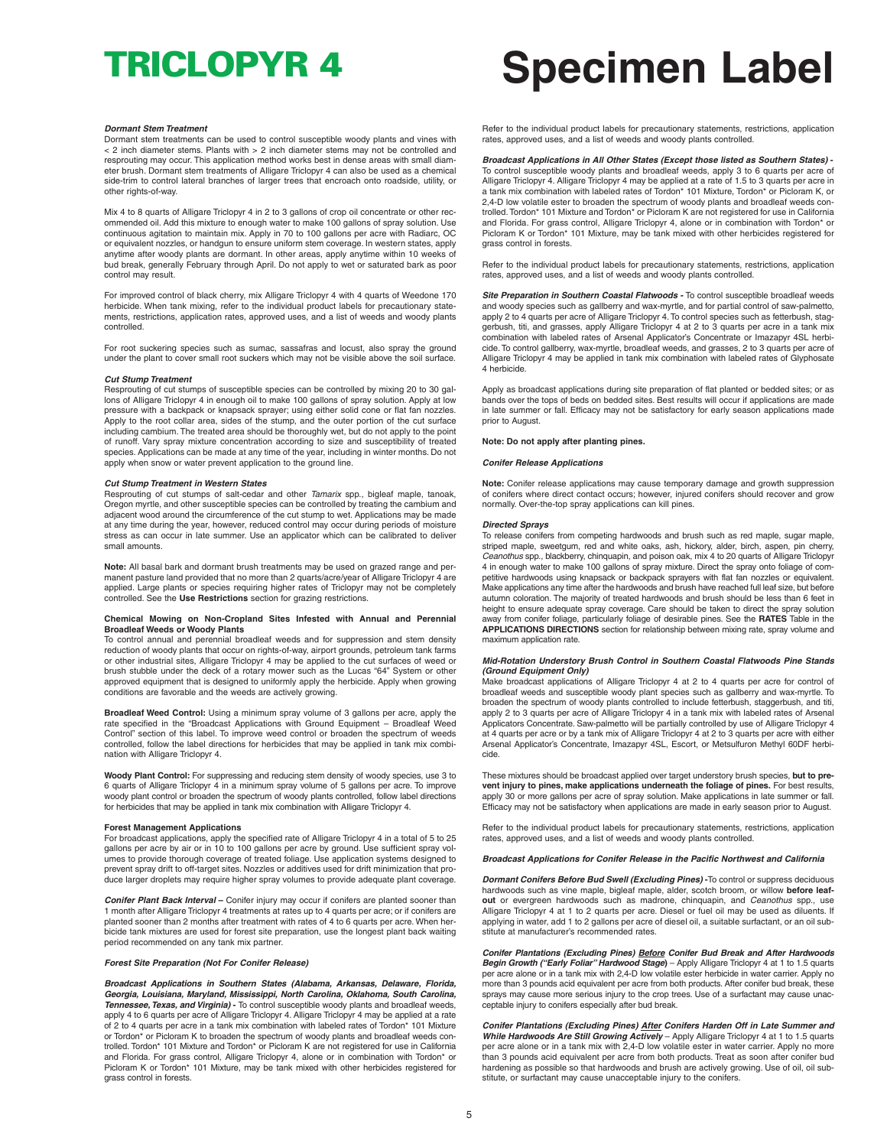#### *Dormant Stem Treatment*

Dormant stem treatments can be used to control susceptible woody plants and vines with < 2 inch diameter stems. Plants with > 2 inch diameter stems may not be controlled and resprouting may occur. This application method works best in dense areas with small diameter brush. Dormant stem treatments of Alligare Triclopyr 4 can also be used as a chemical side-trim to control lateral branches of larger trees that encroach onto roadside, utility, or other rights-of-way.

Mix 4 to 8 quarts of Alligare Triclopyr 4 in 2 to 3 gallons of crop oil concentrate or other recommended oil. Add this mixture to enough water to make 100 gallons of spray solution. Use continuous agitation to maintain mix. Apply in 70 to 100 gallons per acre with Radiarc, OC or equivalent nozzles, or handgun to ensure uniform stem coverage. In western states, apply anytime after woody plants are dormant. In other areas, apply anytime within 10 weeks of bud break, generally February through April. Do not apply to wet or saturated bark as poor control may result.

For improved control of black cherry, mix Alligare Triclopyr 4 with 4 quarts of Weedone 170 herbicide. When tank mixing, refer to the individual product labels for precautionary statements, restrictions, application rates, approved uses, and a list of weeds and woody plants controlled.

For root suckering species such as sumac, sassafras and locust, also spray the ground under the plant to cover small root suckers which may not be visible above the soil surface.

#### *Cut Stump Treatment*

Resprouting of cut stumps of susceptible species can be controlled by mixing 20 to 30 gallons of Alligare Triclopyr 4 in enough oil to make 100 gallons of spray solution. Apply at low pressure with a backpack or knapsack sprayer; using either solid cone or flat fan nozzles. Apply to the root collar area, sides of the stump, and the outer portion of the cut surface including cambium. The treated area should be thoroughly wet, but do not apply to the point of runoff. Vary spray mixture concentration according to size and susceptibility of treated species. Applications can be made at any time of the year, including in winter months. Do not apply when snow or water prevent application to the ground line.

#### *Cut Stump Treatment in Western States*

Resprouting of cut stumps of salt-cedar and other *Tamarix* spp., bigleaf maple, tanoak, Oregon myrtle, and other susceptible species can be controlled by treating the cambium and adjacent wood around the circumference of the cut stump to wet. Applications may be made at any time during the year, however, reduced control may occur during periods of moisture stress as can occur in late summer. Use an applicator which can be calibrated to deliver small amounts.

**Note:** All basal bark and dormant brush treatments may be used on grazed range and permanent pasture land provided that no more than 2 quarts/acre/year of Alligare Triclopyr 4 are applied. Large plants or species requiring higher rates of Triclopyr may not be completely controlled. See the **Use Restrictions** section for grazing restrictions.

#### **Chemical Mowing on Non-Cropland Sites Infested with Annual and Perennial Broadleaf Weeds or Woody Plants**

To control annual and perennial broadleaf weeds and for suppression and stem density reduction of woody plants that occur on rights-of-way, airport grounds, petroleum tank farms or other industrial sites, Alligare Triclopyr 4 may be applied to the cut surfaces of weed or brush stubble under the deck of a rotary mower such as the Lucas "64" System or other approved equipment that is designed to uniformly apply the herbicide. Apply when growing conditions are favorable and the weeds are actively growing.

**Broadleaf Weed Control:** Using a minimum spray volume of 3 gallons per acre, apply the rate specified in the "Broadcast Applications with Ground Equipment – Broadleaf Weed Control" section of this label. To improve weed control or broaden the spectrum of weeds controlled, follow the label directions for herbicides that may be applied in tank mix combination with Alligare Triclopyr 4.

**Woody Plant Control:** For suppressing and reducing stem density of woody species, use 3 to 6 quarts of Alligare Triclopyr 4 in a minimum spray volume of 5 gallons per acre. To improve woody plant control or broaden the spectrum of woody plants controlled, follow label directions for herbicides that may be applied in tank mix combination with Alligare Triclopyr 4.

**Forest Management Applications** For broadcast applications, apply the specified rate of Alligare Triclopyr 4 in a total of 5 to 25 gallons per acre by air or in 10 to 100 gallons per acre by ground. Use sufficient spray volumes to provide thorough coverage of treated foliage. Use application systems designed to prevent spray drift to off-target sites. Nozzles or additives used for drift minimization that produce larger droplets may require higher spray volumes to provide adequate plant coverage.

*Conifer Plant Back Interval* **–** Conifer injury may occur if conifers are planted sooner than 1 month after Alligare Triclopyr 4 treatments at rates up to 4 quarts per acre; or if conifers are planted sooner than 2 months after treatment with rates of 4 to 6 quarts per acre. When herbicide tank mixtures are used for forest site preparation, use the longest plant back waiting period recommended on any tank mix partner.

#### *Forest Site Preparation (Not For Conifer Release)*

*Broadcast Applications in Southern States (Alabama, Arkansas, Delaware, Florida, Georgia, Louisiana, Maryland, Mississippi, North Carolina, Oklahoma, South Carolina, Tennessee,Texas, and Virginia)* **-** To control susceptible woody plants and broadleaf weeds, apply 4 to 6 quarts per acre of Alligare Triclopyr 4. Alligare Triclopyr 4 may be applied at a rate of 2 to 4 quarts per acre in a tank mix combination with labeled rates of Tordon\* 101 Mixture or Tordon\* or Picloram K to broaden the spectrum of woody plants and broadleaf weeds controlled. Tordon\* 101 Mixture and Tordon\* or Picloram K are not registered for use in California and Florida. For grass control, Alligare Triclopyr 4, alone or in combination with Tordon\* or Picloram K or Tordon\* 101 Mixture, may be tank mixed with other herbicides registered for grass control in forests.

# **TRICLOPYR 4 Specimen Label**

Refer to the individual product labels for precautionary statements, restrictions, application rates, approved uses, and a list of weeds and woody plants controlled.

### *Broadcast Applications in All Other States (Except those listed as Southern States)* **-**

To control susceptible woody plants and broadleaf weeds, apply 3 to 6 quarts per acre of Alligare Triclopyr 4. Alligare Triclopyr 4 may be applied at a rate of 1.5 to 3 quarts per acre in a tank mix combination with labeled rates of Tordon\* 101 Mixture, Tordon\* or Picloram K, or 2,4-D low volatile ester to broaden the spectrum of woody plants and broadleaf weeds controlled.Tordon\* 101 Mixture and Tordon\* or Picloram K are not registered for use in California and Florida. For grass control, Alligare Triclopyr 4, alone or in combination with Tordon\* or Picloram K or Tordon\* 101 Mixture, may be tank mixed with other herbicides registered for grass control in forests.

Refer to the individual product labels for precautionary statements, restrictions, application rates, approved uses, and a list of weeds and woody plants controlled.

*Site Preparation in Southern Coastal Flatwoods -* To control susceptible broadleaf weeds and woody species such as gallberry and wax-myrtle, and for partial control of saw-palmetto, apply 2 to 4 quarts per acre of Alligare Triclopyr 4.To control species such as fetterbush, staggerbush, titi, and grasses, apply Alligare Triclopyr 4 at 2 to 3 quarts per acre in a tank mix combination with labeled rates of Arsenal Applicator's Concentrate or Imazapyr 4SL herbicide. To control gallberry, wax-myrtle, broadleaf weeds, and grasses, 2 to 3 quarts per acre of Alligare Triclopyr 4 may be applied in tank mix combination with labeled rates of Glyphosate 4 herbicide.

Apply as broadcast applications during site preparation of flat planted or bedded sites; or as bands over the tops of beds on bedded sites. Best results will occur if applications are made in late summer or fall. Efficacy may not be satisfactory for early season applications made prior to August.

#### **Note: Do not apply after planting pines.**

#### *Conifer Release Applications*

**Note:** Conifer release applications may cause temporary damage and growth suppression of conifers where direct contact occurs; however, injured conifers should recover and grow normally. Over-the-top spray applications can kill pines.

#### *Directed Sprays*

To release conifers from competing hardwoods and brush such as red maple, sugar maple, striped maple, sweetgum, red and white oaks, ash, hickory, alder, birch, aspen, pin cherry, *Ceanothus* spp., blackberry, chinquapin, and poison oak, mix 4 to 20 quarts of Alligare Triclopyr 4 in enough water to make 100 gallons of spray mixture. Direct the spray onto foliage of competitive hardwoods using knapsack or backpack sprayers with flat fan nozzles or equivalent. Make applications any time after the hardwoods and brush have reached full leaf size, but before autumn coloration. The majority of treated hardwoods and brush should be less than 6 feet in height to ensure adequate spray coverage. Care should be taken to direct the spray solution from conifer foliage, particularly foliage of desirable pines. See the **RATES** Table in the **APPLICATIONS DIRECTIONS** section for relationship between mixing rate, spray volume and maximum application rate.

## *Mid-Rotation Understory Brush Control in Southern Coastal Flatwoods Pine Stands*

*(Ground Equipment Only)* Make broadcast applications of Alligare Triclopyr 4 at 2 to 4 quarts per acre for control of broadleaf weeds and susceptible woody plant species such as gallberry and wax-myrtle. To broaden the spectrum of woody plants controlled to include fetterbush, staggerbush, and titi, apply 2 to 3 quarts per acre of Alligare Triclopyr 4 in a tank mix with labeled rates of Arsenal Applicators Concentrate. Saw-palmetto will be partially controlled by use of Alligare Triclopyr 4 at 4 quarts per acre or by a tank mix of Alligare Triclopyr 4 at 2 to 3 quarts per acre with either Arsenal Applicator's Concentrate, Imazapyr 4SL, Escort, or Metsulfuron Methyl 60DF herbicide.

These mixtures should be broadcast applied over target understory brush species, **but to prevent injury to pines, make applications underneath the foliage of pines.** For best results, apply 30 or more gallons per acre of spray solution. Make applications in late summer or fall. Efficacy may not be satisfactory when applications are made in early season prior to August.

Refer to the individual product labels for precautionary statements, restrictions, application rates, approved uses, and a list of weeds and woody plants controlled.

#### *Broadcast Applications for Conifer Release in the Pacific Northwest and California*

*Dormant Conifers Before Bud Swell (Excluding Pines)* **-**To control or suppress deciduous hardwoods such as vine maple, bigleaf maple, alder, scotch broom, or willow **before leafout** or evergreen hardwoods such as madrone, chinquapin, and *Ceanothus* spp., use Alligare Triclopyr 4 at 1 to 2 quarts per acre. Diesel or fuel oil may be used as diluents. If applying in water, add 1 to 2 gallons per acre of diesel oil, a suitable surfactant, or an oil substitute at manufacturer's recommended rates.

*Conifer Plantations (Excluding Pines) Before Conifer Bud Break and After Hardwoods* Begin Growth ("Early Foliar" Hardwood Stage) – Apply Alligare Triclopyr 4 at 1 to 1.5 quarts<br>per acre alone or in a tank mix with 2,4-D low volatile ester herbicide in water carrier. Apply no more than 3 pounds acid equivalent per acre from both products. After conifer bud break, these sprays may cause more serious injury to the crop trees. Use of a surfactant may cause unacceptable injury to conifers especially after bud break.

*Conifer Plantations (Excluding Pines) After Conifers Harden Off in Late Summer and* While Hardwoods Are Still Growing Actively – Apply Alligare Triclopyr 4 at 1 to 1.5 quarts<br>per acre alone or in a tank mix with 2,4-D low volatile ester in water carrier. Apply no more than 3 pounds acid equivalent per acre from both products. Treat as soon after conifer bud hardening as possible so that hardwoods and brush are actively growing. Use of oil, oil substitute, or surfactant may cause unacceptable injury to the conifers.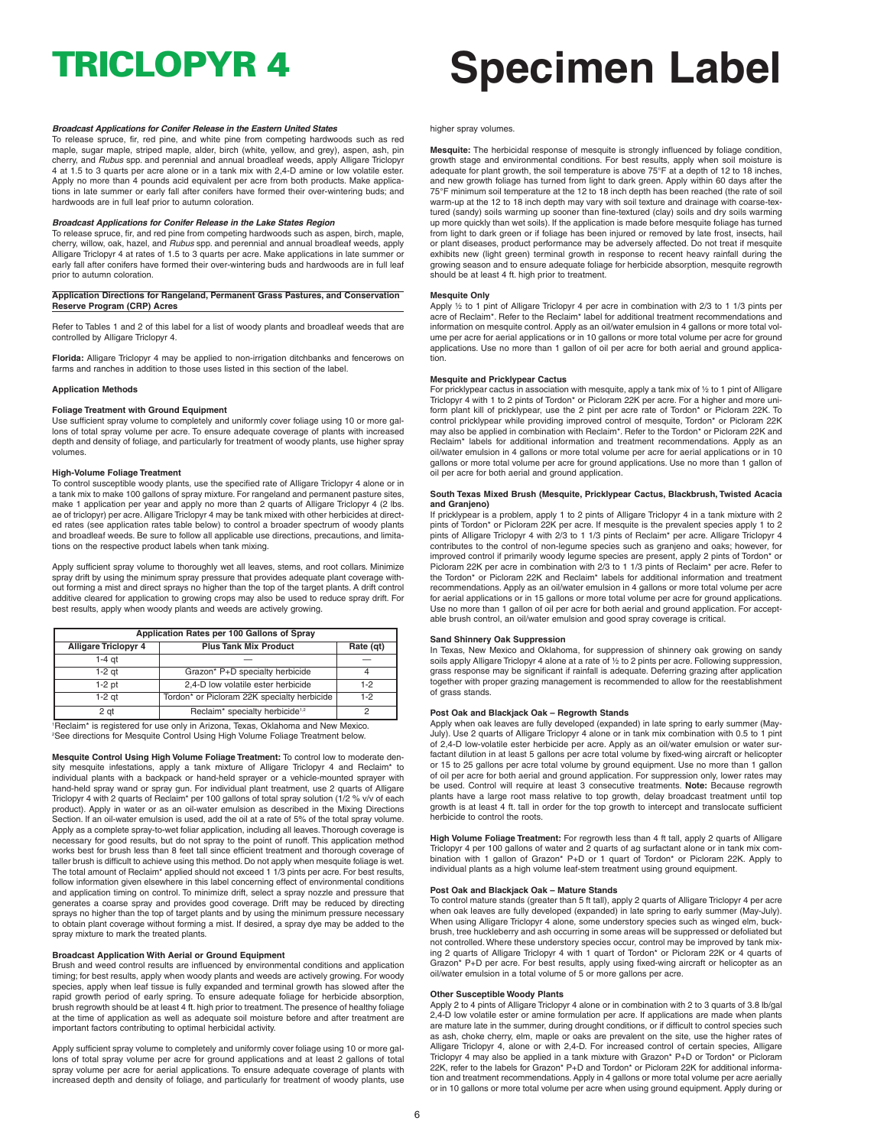#### *Broadcast Applications for Conifer Release in the Eastern United States*

To release spruce, fir, red pine, and white pine from competing hardwoods such as red maple, sugar maple, striped maple, alder, birch (white, yellow, and grey), aspen, ash, pin cherry, and *Rubus* spp. and perennial and annual broadleaf weeds, apply Alligare Triclopyr 4 at 1.5 to 3 quarts per acre alone or in a tank mix with 2,4-D amine or low volatile ester. Apply no more than 4 pounds acid equivalent per acre from both products. Make applica-tions in late summer or early fall after conifers have formed their over-wintering buds; and hardwoods are in full leaf prior to autumn coloration.

#### *Broadcast Applications for Conifer Release in the Lake States Region*

To release spruce, fir, and red pine from competing hardwoods such as aspen, birch, maple, cherry, willow, oak, hazel, and *Rubus* spp. and perennial and annual broadleaf weeds, apply Alligare Triclopyr 4 at rates of 1.5 to 3 quarts per acre. Make applications in late summer or early fall after conifers have formed their over-wintering buds and hardwoods are in full leaf prior to autumn coloration.

#### **Application Directions for Rangeland, Permanent Grass Pastures, and Conservation Reserve Program (CRP) Acres**

Refer to Tables 1 and 2 of this label for a list of woody plants and broadleaf weeds that are controlled by Alligare Triclopyr 4.

**Florida:** Alligare Triclopyr 4 may be applied to non-irrigation ditchbanks and fencerows on farms and ranches in addition to those uses listed in this section of the label.

#### **Application Methods**

#### **Foliage Treatment with Ground Equipment**

Use sufficient spray volume to completely and uniformly cover foliage using 10 or more gallons of total spray volume per acre. To ensure adequate coverage of plants with increased depth and density of foliage, and particularly for treatment of woody plants, use higher spray volumes.

#### **High-Volume Foliage Treatment**

To control susceptible woody plants, use the specified rate of Alligare Triclopyr 4 alone or in a tank mix to make 100 gallons of spray mixture. For rangeland and permanent pasture sites, make 1 application per year and apply no more than 2 quarts of Alligare Triclopyr 4 (2 lbs. ae of triclopyr) per acre. Alligare Triclopyr 4 may be tank mixed with other herbicides at direct-ed rates (see application rates table below) to control a broader spectrum of woody plants and broadleaf weeds. Be sure to follow all applicable use directions, precautions, and limitations on the respective product labels when tank mixing.

Apply sufficient spray volume to thoroughly wet all leaves, stems, and root collars. Minimize spray drift by using the minimum spray pressure that provides adequate plant coverage without forming a mist and direct sprays no higher than the top of the target plants. A drift control additive cleared for application to growing crops may also be used to reduce spray drift. For best results, apply when woody plants and weeds are actively growing.

| Application Rates per 100 Gallons of Spray |                                             |           |  |
|--------------------------------------------|---------------------------------------------|-----------|--|
| <b>Alligare Triclopyr 4</b>                | <b>Plus Tank Mix Product</b>                | Rate (qt) |  |
| 1-4 at                                     |                                             |           |  |
| $1-2$ at                                   | Grazon* P+D specialty herbicide             |           |  |
| $1-2$ pt                                   | 2,4-D low volatile ester herbicide          | $1-2$     |  |
| $1-2$ at                                   | Tordon* or Picloram 22K specialty herbicide | $1-2$     |  |
| 2 at                                       | Reclaim* specialty herbicide <sup>1,2</sup> |           |  |

1 Reclaim\* is registered for use only in Arizona, Texas, Oklahoma and New Mexico. 2 See directions for Mesquite Control Using High Volume Foliage Treatment below.

**Mesquite Control Using High Volume Foliage Treatment:** To control low to moderate density mesquite infestations, apply a tank mixture of Alligare Triclopyr 4 and Reclaim\* to individual plants with a backpack or hand-held sprayer or a vehicle-mounted sprayer with<br>hand-held spray wand or spray gun. For individual plant treatment, use 2 quarts of Alligare<br>Triclopyr 4 with 2 quarts of Reclaim\* per product). Apply in water or as an oil-water emulsion as described in the Mixing Directions Section. If an oil-water emulsion is used, add the oil at a rate of 5% of the total spray volume. Apply as a complete spray-to-wet foliar application, including all leaves. Thorough coverage is necessary for good results, but do not spray to the point of runoff. This application method works best for brush less than 8 feet tall since efficient treatment and thorough coverage of taller brush is difficult to achieve using this method. Do not apply when mesquite foliage is wet. The total amount of Reclaim\* applied should not exceed 1 1/3 pints per acre. For best results, follow information given elsewhere in this label concerning effect of environmental conditions and application timing on control. To minimize drift, select a spray nozzle and pressure that generates a coarse spray and provides good coverage. Drift may be reduced by directing sprays no higher than the top of target plants and by using the minimum pressure necessary to obtain plant coverage without forming a mist. If desired, a spray dye may be added to the spray mixture to mark the treated plants.

#### **Broadcast Application With Aerial or Ground Equipment**

Brush and weed control results are influenced by environmental conditions and application timing; for best results, apply when woody plants and weeds are actively growing. For woody species, apply when leaf tissue is fully expanded and terminal growth has slowed after the rapid growth period of early spring. To ensure adequate foliage for herbicide absorption, brush regrowth should be at least 4 ft. high prior to treatment.The presence of healthy foliage at the time of application as well as adequate soil moisture before and after treatment are important factors contributing to optimal herbicidal activity.

Apply sufficient spray volume to completely and uniformly cover foliage using 10 or more gal-lons of total spray volume per acre for ground applications and at least 2 gallons of total spray volume per acre for aerial applications. To ensure adequate coverage of plants with increased depth and density of foliage, and particularly for treatment of woody plants, use

# **TRICLOPYR 4 Specimen Label**

#### higher spray volumes.

**Mesquite:** The herbicidal response of mesquite is strongly influenced by foliage condition, growth stage and environmental conditions. For best results, apply when soil moisture is adequate for plant growth, the soil temperature is above 75°F at a depth of 12 to 18 inches, and new growth foliage has turned from light to dark green. Apply within 60 days after the 75°F minimum soil temperature at the 12 to 18 inch depth has been reached (the rate of soil warm-up at the 12 to 18 inch depth may vary with soil texture and drainage with coarse-textured (sandy) soils warming up sooner than fine-textured (clay) soils and dry soils warming up more quickly than wet soils). If the application is made before mesquite foliage has turned from light to dark green or if foliage has been injured or removed by late frost, insects, hail or plant diseases, product performance may be adversely affected. Do not treat if mesquite exhibits new (light green) terminal growth in response to recent heavy rainfall during the growing season and to ensure adequate foliage for herbicide absorption, mesquite regrowth should be at least 4 ft. high prior to treatment.

#### **Mesquite Only**

Apply 1/2 to 1 pint of Alligare Triclopyr 4 per acre in combination with 2/3 to 1 1/3 pints per acre of Reclaim\*. Refer to the Reclaim\* label for additional treatment recommendations and information on mesquite control. Apply as an oil/water emulsion in 4 gallons or more total volume per acre for aerial applications or in 10 gallons or more total volume per acre for ground applications. Use no more than 1 gallon of oil per acre for both aerial and ground application.

#### **Mesquite and Pricklypear Cactus**

For pricklypear cactus in association with mesquite, apply a tank mix of 1/2 to 1 pint of Alligare Triclopyr 4 with 1 to 2 pints of Tordon\* or Picloram 22K per acre. For a higher and more uniform plant kill of pricklypear, use the 2 pint per acre rate of Tordon\* or Picloram 22K. To control pricklypear while providing improved control of mesquite, Tordon\* or Picloram 22K may also be applied in combination with Reclaim\*. Refer to the Tordon\* or Picloram 22K and Reclaim\* labels for additional information and treatment recommendations. Apply as an oil/water emulsion in 4 gallons or more total volume per acre for aerial applications or in 10 gallons or more total volume per acre for ground applications. Use no more than 1 gallon of oil per acre for both aerial and ground application.

#### **South Texas Mixed Brush (Mesquite, Pricklypear Cactus, Blackbrush, Twisted Acacia and Granjeno)**

If pricklypear is a problem, apply 1 to 2 pints of Alligare Triclopyr 4 in a tank mixture with 2 pints of Tordon\* or Picloram 22K per acre. If mesquite is the prevalent species apply 1 to 2 pints of Alligare Triclopyr 4 with 2/3 to 1 1/3 pints of Reclaim\* per acre. Alligare Triclopyr 4 contributes to the control of non-legume species such as granjeno and oaks; however, for improved control if primarily woody legume species are present, apply 2 pints of Tordon\* or<br>Picloram 22K per acre in combination with 2/3 to 1 1/3 pints of Reclaim\* per acre. Refer to<br>the Tordon\* or Picloram 22K and Reclai recommendations. Apply as an oil/water emulsion in 4 gallons or more total volume per acre for aerial applications or in 15 gallons or more total volume per acre for ground applications. Use no more than 1 gallon of oil per acre for both aerial and ground application. For acceptable brush control, an oil/water emulsion and good spray coverage is critical.

#### **Sand Shinnery Oak Suppression**

In Texas, New Mexico and Oklahoma, for suppression of shinnery oak growing on sandy soils apply Alligare Triclopyr 4 alone at a rate of ½ to 2 pints per acre. Following suppression, grass response may be significant if rainfall is adequate. Deferring grazing after application together with proper grazing management is recommended to allow for the reestablishment of grass stands.

#### **Post Oak and Blackjack Oak – Regrowth Stands**

Apply when oak leaves are fully developed (expanded) in late spring to early summer (May-<br>July). Use 2 quarts of Alligare Triclopyr 4 alone or in tank mix combination with 0.5 to 1 pint Use 2 quarts of Alligare Triclopyr 4 alone or in tank mix combination with 0.5 to 1 pint of 2,4-D low-volatile ester herbicide per acre. Apply as an oil/water emulsion or water surfactant dilution in at least 5 gallons per acre total volume by fixed-wing aircraft or helicopter or 15 to 25 gallons per acre total volume by ground equipment. Use no more than 1 gallon of oil per acre for both aerial and ground application. For suppression only, lower rates may be used. Control will require at least 3 consecutive treatments. **Note:** Because regrowth plants have a large root mass relative to top growth, delay broadcast treatment until top growth is at least 4 ft. tall in order for the top growth to intercept and translocate sufficient herbicide to control the roots.

**High Volume Foliage Treatment:** For regrowth less than 4 ft tall, apply 2 quarts of Alligare Triclopyr 4 per 100 gallons of water and 2 quarts of ag surfactant alone or in tank mix combination with 1 gallon of Grazon\* P+D or 1 quart of Tordon\* or Picloram 22K. Apply to individual plants as a high volume leaf-stem treatment using ground equipment.

#### **Post Oak and Blackjack Oak – Mature Stands**

To control mature stands (greater than 5 ft tall), apply 2 quarts of Alligare Triclopyr 4 per acre when oak leaves are fully developed (expanded) in late spring to early summer (May-July). When using Alligare Triclopyr 4 alone, some understory species such as winged elm, buckbrush, tree huckleberry and ash occurring in some areas will be suppressed or defoliated but not controlled. Where these understory species occur, control may be improved by tank mix-ing 2 quarts of Alligare Triclopyr 4 with 1 quart of Tordon\* or Picloram 22K or 4 quarts of Grazon\* P+D per acre. For best results, apply using fixed-wing aircraft or helicopter as an oil/water emulsion in a total volume of 5 or more gallons per acre.

#### **Other Susceptible Woody Plants**

Apply 2 to 4 pints of Alligare Triclopyr 4 alone or in combination with 2 to 3 quarts of 3.8 lb/gal 2,4-D low volatile ester or amine formulation per acre. If applications are made when plants are mature late in the summer, during drought conditions, or if difficult to control species such as ash, choke cherry, elm, maple or oaks are prevalent on the site, use the higher rates of Alligare Triclopyr 4, alone or with 2,4-D. For increased control of certain species, Alligare<br>Triclopyr 4 may also be applied in a tank mixture with Grazon\* P+D or Tordon\* or Picloram<br>22K, refer to the labels for Grazon\* P tion and treatment recommendations. Apply in 4 gallons or more total volume per acre aerially or in 10 gallons or more total volume per acre when using ground equipment. Apply during or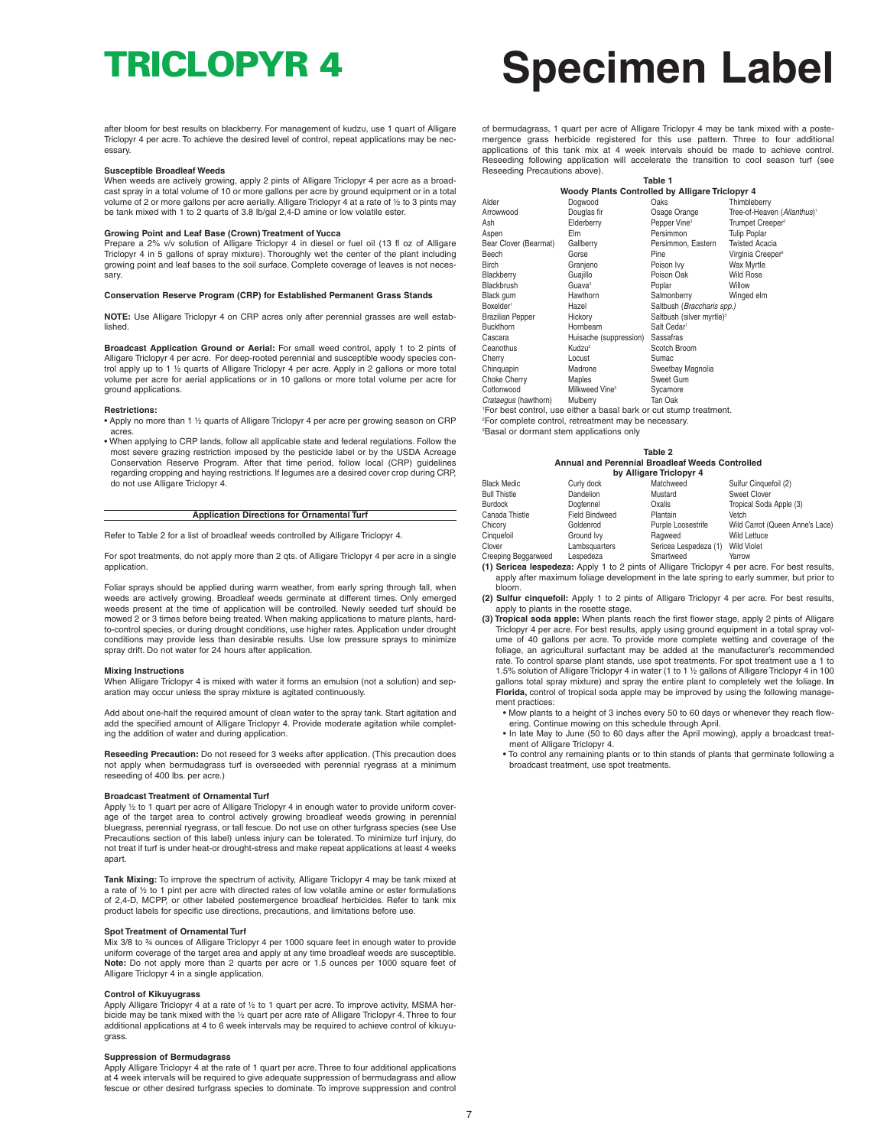# **TRICLOPYR 4 Specimen Label**

after bloom for best results on blackberry. For management of kudzu, use 1 quart of Alligare Triclopyr 4 per acre. To achieve the desired level of control, repeat applications may be necessary.

#### **Susceptible Broadleaf Weeds**

When weeds are actively growing, apply 2 pints of Alligare Triclopyr 4 per acre as a broad-cast spray in a total volume of 10 or more gallons per acre by ground equipment or in a total volume of 2 or more gallons per acre aerially. Alligare Triclopyr 4 at a rate of ½ to 3 pints may be tank mixed with 1 to 2 quarts of 3.8 lb/gal 2,4-D amine or low volatile ester.

#### **Growing Point and Leaf Base (Crown) Treatment of Yucca**

Prepare a 2% v/v solution of Alligare Triclopyr 4 in diesel or fuel oil (13 fl oz of Alligare Triclopyr 4 in 5 gallons of spray mixture). Thoroughly wet the center of the plant including growing point and leaf bases to the soil surface. Complete coverage of leaves is not necessary.

#### **Conservation Reserve Program (CRP) for Established Permanent Grass Stands**

**NOTE:** Use Alligare Triclopyr 4 on CRP acres only after perennial grasses are well established.

**Broadcast Application Ground or Aerial:** For small weed control, apply 1 to 2 pints of Alligare Triclopyr 4 per acre. For deep-rooted perennial and susceptible woody species control apply up to 1 ½ quarts of Alligare Triclopyr 4 per acre. Apply in 2 gallons or more total volume per acre for aerial applications or in 10 gallons or more total volume per acre for ground applications.

#### **Restrictions:**

- Apply no more than 1 ½ quarts of Alligare Triclopyr 4 per acre per growing season on CRP acres.
- When applying to CRP lands, follow all applicable state and federal regulations. Follow the most severe grazing restriction imposed by the pesticide label or by the USDA Acreage Conservation Reserve Program. After that time period, follow local (CRP) guidelines regarding cropping and haying restrictions. If legumes are a desired cover crop during CRP, do not use Alligare Triclopyr 4.

### **Application Directions for Ornamental Turf**

Refer to Table 2 for a list of broadleaf weeds controlled by Alligare Triclopyr 4.

For spot treatments, do not apply more than 2 qts. of Alligare Triclopyr 4 per acre in a single application.

Foliar sprays should be applied during warm weather, from early spring through fall, when weeds are actively growing. Broadleaf weeds germinate at different times. Only emerged weeds present at the time of application will be controlled. Newly seeded turf should be mowed 2 or 3 times before being treated. When making applications to mature plants, hardto-control species, or during drought conditions, use higher rates. Application under drought conditions may provide less than desirable results. Use low pressure sprays to minimize spray drift. Do not water for 24 hours after application.

#### **Mixing Instructions**

When Alligare Triclopyr 4 is mixed with water it forms an emulsion (not a solution) and separation may occur unless the spray mixture is agitated continuously.

Add about one-half the required amount of clean water to the spray tank. Start agitation and add the specified amount of Alligare Triclopyr 4. Provide moderate agitation while completing the addition of water and during application.

**Reseeding Precaution:** Do not reseed for 3 weeks after application. (This precaution does not apply when bermudagrass turf is overseeded with perennial ryegrass at a minimum reseeding of 400 lbs. per acre.)

#### **Broadcast Treatment of Ornamental Turf**

Apply 1/2 to 1 quart per acre of Alligare Triclopyr 4 in enough water to provide uniform coverage of the target area to control actively growing broadleaf weeds growing in perennial bluegrass, perennial ryegrass, or tall fescue. Do not use on other turfgrass species (see Use Precautions section of this label) unless injury can be tolerated. To minimize turf injury, do not treat if turf is under heat-or drought-stress and make repeat applications at least 4 weeks apart.

**Tank Mixing:** To improve the spectrum of activity, Alligare Triclopyr 4 may be tank mixed at a rate of ½ to 1 pint per acre with directed rates of low volatile amine or ester formulations of 2,4-D, MCPP, or other labeled postemergence broadleaf herbicides. Refer to tank mix product labels for specific use directions, precautions, and limitations before use.

#### **Spot Treatment of Ornamental Turf**

Mix 3/8 to <sup>3</sup>/<sub>4</sub> ounces of Alligare Triclopyr 4 per 1000 square feet in enough water to provide uniform coverage of the target area and apply at any time broadleaf weeds are susceptible. **Note:** Do not apply more than 2 quarts per acre or 1.5 ounces per 1000 square feet of Alligare Triclopyr 4 in a single application.

#### **Control of Kikuyugrass**

Apply Alligare Triclopyr 4 at a rate of 1/2 to 1 quart per acre. To improve activity, MSMA herbicide may be tank mixed with the ½ quart per acre rate of Alligare Triclopyr 4. Three to four additional applications at 4 to 6 week intervals may be required to achieve control of kikuyugrass.

#### **Suppression of Bermudagrass**

Apply Alligare Triclopyr 4 at the rate of 1 quart per acre. Three to four additional applications at 4 week intervals will be required to give adequate suppression of bermudagrass and allow fescue or other desired turfgrass species to dominate. To improve suppression and control

of bermudagrass, 1 quart per acre of Alligare Triclopyr 4 may be tank mixed with a postemergence grass herbicide registered for this use pattern. Three to four additional applications of this tank mix at 4 week intervals should be made to achieve control. Reseeding following application will accelerate the transition to cool season turf (see Reseeding Precautions above).

|                                                 |                                                                 | Table 1                               |                                         |  |  |
|-------------------------------------------------|-----------------------------------------------------------------|---------------------------------------|-----------------------------------------|--|--|
| Woody Plants Controlled by Alligare Triclopyr 4 |                                                                 |                                       |                                         |  |  |
| Alder                                           | Dogwood                                                         | Oaks                                  | Thimbleberry                            |  |  |
| Arrowwood                                       | Douglas fir                                                     | Osage Orange                          | Tree-of-Heaven (Ailanthus) <sup>1</sup> |  |  |
| Ash                                             | Elderberry                                                      | Pepper Vine <sup>3</sup>              | Trumpet Creeper <sup>3</sup>            |  |  |
| Aspen                                           | Elm                                                             | Persimmon                             | <b>Tulip Poplar</b>                     |  |  |
| Bear Clover (Bearmat)                           | Gallberry                                                       | Persimmon, Eastern                    | <b>Twisted Acacia</b>                   |  |  |
| Beech                                           | Gorse                                                           | Pine                                  | Virginia Creeper <sup>3</sup>           |  |  |
| Birch                                           | Granjeno                                                        | Poison Ivy                            | Wax Myrtle                              |  |  |
| Blackberry                                      | Guajillo                                                        | Poison Oak                            | <b>Wild Rose</b>                        |  |  |
| Blackbrush                                      | Guava <sup>3</sup>                                              | Poplar                                | Willow                                  |  |  |
| Black gum                                       | Hawthorn                                                        | Salmonberry                           | Winged elm                              |  |  |
| Boxelder <sup>1</sup>                           | Hazel                                                           | Saltbush (Braccharis spp.)            |                                         |  |  |
| Brazilian Pepper                                | Hickory                                                         | Saltbush (silver myrtle) <sup>3</sup> |                                         |  |  |
| <b>Buckthorn</b>                                | Hornbeam                                                        | Salt Cedar <sup>1</sup>               |                                         |  |  |
| Cascara                                         | Huisache (suppression)                                          | Sassafras                             |                                         |  |  |
| Ceanothus                                       | Kudzu <sup>2</sup>                                              | Scotch Broom                          |                                         |  |  |
| Cherry                                          | Locust                                                          | Sumac                                 |                                         |  |  |
| Chinquapin                                      | Madrone                                                         | Sweetbay Magnolia                     |                                         |  |  |
| Choke Cherry                                    | Maples                                                          | Sweet Gum                             |                                         |  |  |
| Cottonwood                                      | Milkweed Vine <sup>3</sup>                                      | Sycamore                              |                                         |  |  |
| Crataegus (hawthorn)                            | Mulberry                                                        | Tan Oak                               |                                         |  |  |
|                                                 | For hest control use either a basal bark or cut stump treatment |                                       |                                         |  |  |

'For best control, use either a basal bark or cut stump treatment.<br><sup>2</sup>For complete control, retreatment may be necessary. 3 Basal or dormant stem applications only

### **Table 2 Annual and Perennial Broadleaf Weeds Controlled**

|                            |                       | by Alligare Triclopyr 4 |                                 |
|----------------------------|-----------------------|-------------------------|---------------------------------|
| <b>Black Medic</b>         | Curly dock            | Matchweed               | Sulfur Cinquefoil (2)           |
| <b>Bull Thistle</b>        | Dandelion             | Mustard                 | Sweet Clover                    |
| <b>Burdock</b>             | Dogfennel             | Oxalis                  | Tropical Soda Apple (3)         |
| Canada Thistle             | <b>Field Bindweed</b> | Plantain                | Vetch                           |
| Chicory                    | Goldenrod             | Purple Loosestrife      | Wild Carrot (Queen Anne's Lace) |
| Cinquefoil                 | Ground Ivy            | Ragweed                 | <b>Wild Lettuce</b>             |
| Clover                     | Lambsquarters         | Sericea Lespedeza (1)   | <b>Wild Violet</b>              |
| <b>Creeping Beggarweed</b> | Lespedeza             | Smartweed               | Yarrow                          |

- Creeping Beggarweed Lespedeza Smartweed Yarrow **(1) Sericea lespedeza:** Apply 1 to 2 pints of Alligare Triclopyr 4 per acre. For best results, apply after maximum foliage development in the late spring to early summer, but prior to bloom.
- **(2) Sulfur cinquefoil:** Apply 1 to 2 pints of Alligare Triclopyr 4 per acre. For best results, apply to plants in the rosette stage.
- **(3) Tropical soda apple:** When plants reach the first flower stage, apply 2 pints of Alligare Triclopyr 4 per acre. For best results, apply using ground equipment in a total spray volume of 40 gallons per acre. To provide more complete wetting and coverage of the foliage, an agricultural surfactant may be added at the manufacturer's recommended rate. To control sparse plant stands, use spot treatments. For spot treatment use a 1 to 1.5% solution of Alligare Triclopyr 4 in water (1 to 1 ½ gallons of Alligare Triclopyr 4 in 100 gallons total spray mixture) and spray the entire plant to completely wet the foliage. **In Florida,** control of tropical soda apple may be improved by using the following management practices:
	- Mow plants to a height of 3 inches every 50 to 60 days or whenever they reach flowering. Continue mowing on this schedule through April.
	- In late May to June (50 to 60 days after the April mowing), apply a broadcast treatment of Alligare Triclopyr 4.
	- To control any remaining plants or to thin stands of plants that germinate following a broadcast treatment, use spot treatments.